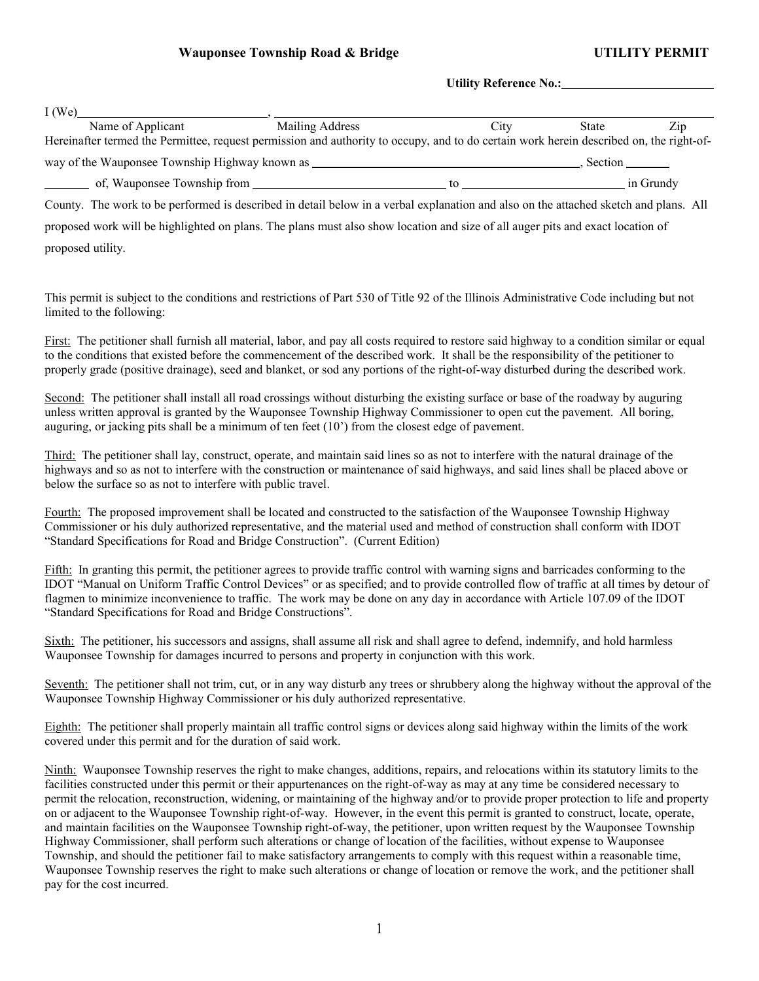**Utility Reference No.:** 

| I(We)                                                                                                                                                                                                                          |                 |      |         |           |  |  |  |  |
|--------------------------------------------------------------------------------------------------------------------------------------------------------------------------------------------------------------------------------|-----------------|------|---------|-----------|--|--|--|--|
| Name of Applicant                                                                                                                                                                                                              | Mailing Address | City | State   | Zip       |  |  |  |  |
| Hereinafter termed the Permittee, request permission and authority to occupy, and to do certain work herein described on, the right-of-                                                                                        |                 |      |         |           |  |  |  |  |
| way of the Wauponsee Township Highway known as __________________________________                                                                                                                                              |                 |      | Section |           |  |  |  |  |
| of, Wauponsee Township from the contract of the contract of the contract of the contract of the contract of the contract of the contract of the contract of the contract of the contract of the contract of the contract of th |                 |      |         | in Grundy |  |  |  |  |
| County. The work to be performed is described in detail below in a verbal explanation and also on the attached sketch and plans. All                                                                                           |                 |      |         |           |  |  |  |  |
| proposed work will be highlighted on plans. The plans must also show location and size of all auger pits and exact location of                                                                                                 |                 |      |         |           |  |  |  |  |
| proposed utility.                                                                                                                                                                                                              |                 |      |         |           |  |  |  |  |

This permit is subject to the conditions and restrictions of Part 530 of Title 92 of the Illinois Administrative Code including but not limited to the following:

First: The petitioner shall furnish all material, labor, and pay all costs required to restore said highway to a condition similar or equal to the conditions that existed before the commencement of the described work. It shall be the responsibility of the petitioner to properly grade (positive drainage), seed and blanket, or sod any portions of the right-of-way disturbed during the described work.

Second: The petitioner shall install all road crossings without disturbing the existing surface or base of the roadway by auguring unless written approval is granted by the Wauponsee Township Highway Commissioner to open cut the pavement. All boring, auguring, or jacking pits shall be a minimum of ten feet (10') from the closest edge of pavement.

Third: The petitioner shall lay, construct, operate, and maintain said lines so as not to interfere with the natural drainage of the highways and so as not to interfere with the construction or maintenance of said highways, and said lines shall be placed above or below the surface so as not to interfere with public travel.

Fourth: The proposed improvement shall be located and constructed to the satisfaction of the Wauponsee Township Highway Commissioner or his duly authorized representative, and the material used and method of construction shall conform with IDOT "Standard Specifications for Road and Bridge Construction". (Current Edition)

Fifth: In granting this permit, the petitioner agrees to provide traffic control with warning signs and barricades conforming to the IDOT "Manual on Uniform Traffic Control Devices" or as specified; and to provide controlled flow of traffic at all times by detour of flagmen to minimize inconvenience to traffic. The work may be done on any day in accordance with Article 107.09 of the IDOT "Standard Specifications for Road and Bridge Constructions".

Sixth: The petitioner, his successors and assigns, shall assume all risk and shall agree to defend, indemnify, and hold harmless Wauponsee Township for damages incurred to persons and property in conjunction with this work.

Seventh: The petitioner shall not trim, cut, or in any way disturb any trees or shrubbery along the highway without the approval of the Wauponsee Township Highway Commissioner or his duly authorized representative.

Eighth: The petitioner shall properly maintain all traffic control signs or devices along said highway within the limits of the work covered under this permit and for the duration of said work.

Ninth: Wauponsee Township reserves the right to make changes, additions, repairs, and relocations within its statutory limits to the facilities constructed under this permit or their appurtenances on the right-of-way as may at any time be considered necessary to permit the relocation, reconstruction, widening, or maintaining of the highway and/or to provide proper protection to life and property on or adjacent to the Wauponsee Township right-of-way. However, in the event this permit is granted to construct, locate, operate, and maintain facilities on the Wauponsee Township right-of-way, the petitioner, upon written request by the Wauponsee Township Highway Commissioner, shall perform such alterations or change of location of the facilities, without expense to Wauponsee Township, and should the petitioner fail to make satisfactory arrangements to comply with this request within a reasonable time, Wauponsee Township reserves the right to make such alterations or change of location or remove the work, and the petitioner shall pay for the cost incurred.